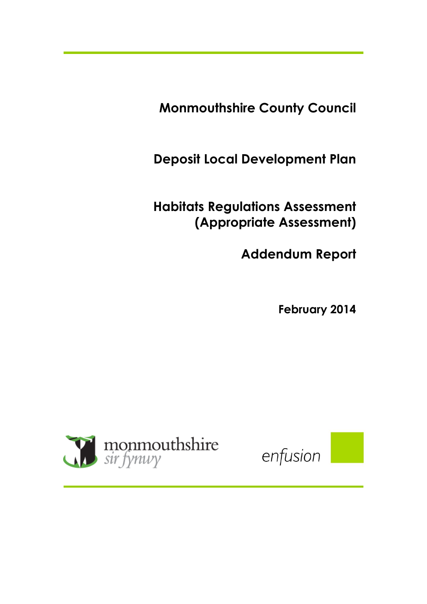**Monmouthshire County Council**

**Deposit Local Development Plan** 

**Habitats Regulations Assessment (Appropriate Assessment)** 

**Addendum Report** 

**February 2014**



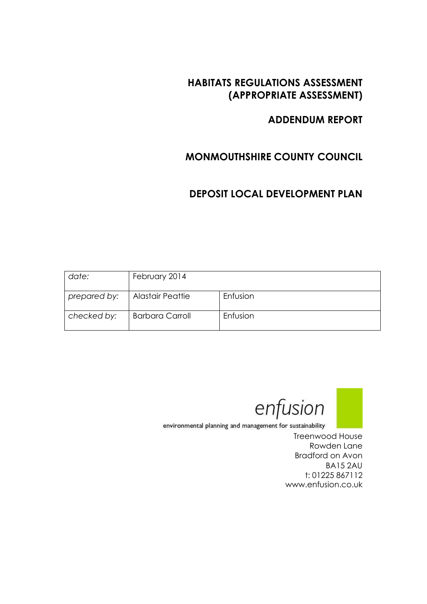## **HABITATS REGULATIONS ASSESSMENT (APPROPRIATE ASSESSMENT)**

## **ADDENDUM REPORT**

# **MONMOUTHSHIRE COUNTY COUNCIL**

# **DEPOSIT LOCAL DEVELOPMENT PLAN**

| date:        | February 2014           |          |
|--------------|-------------------------|----------|
| prepared by: | <b>Alastair Peattie</b> | Enfusion |
| checked by:  | <b>Barbara Carroll</b>  | Enfusion |



environmental planning and management for sustainability

Treenwood House Rowden Lane Bradford on Avon BA15 2AU t: 01225 867112 www.enfusion.co.uk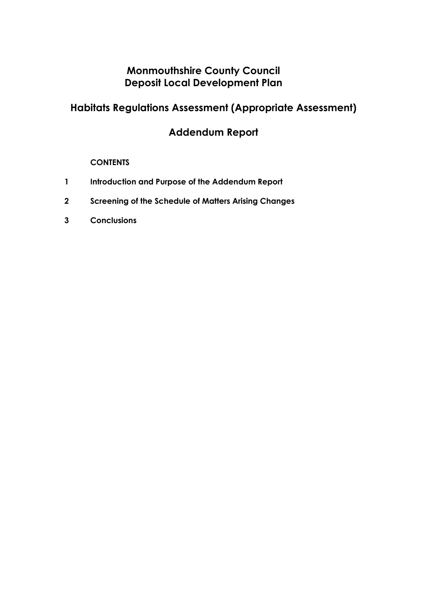# **Monmouthshire County Council Deposit Local Development Plan**

# **Habitats Regulations Assessment (Appropriate Assessment)**

# **Addendum Report**

## **CONTENTS**

- **1 Introduction and Purpose of the Addendum Report**
- **2 Screening of the Schedule of Matters Arising Changes**
- **3 Conclusions**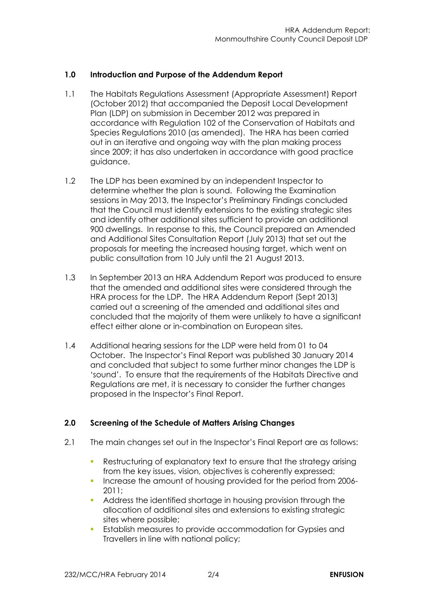## **1.0 Introduction and Purpose of the Addendum Report**

- 1.1 The Habitats Regulations Assessment (Appropriate Assessment) Report (October 2012) that accompanied the Deposit Local Development Plan (LDP) on submission in December 2012 was prepared in accordance with Regulation 102 of the Conservation of Habitats and Species Regulations 2010 (as amended). The HRA has been carried out in an iterative and ongoing way with the plan making process since 2009; it has also undertaken in accordance with good practice guidance.
- 1.2 The LDP has been examined by an independent Inspector to determine whether the plan is sound. Following the Examination sessions in May 2013, the Inspector's Preliminary Findings concluded that the Council must identify extensions to the existing strategic sites and identify other additional sites sufficient to provide an additional 900 dwellings. In response to this, the Council prepared an Amended and Additional Sites Consultation Report (July 2013) that set out the proposals for meeting the increased housing target, which went on public consultation from 10 July until the 21 August 2013.
- 1.3 In September 2013 an HRA Addendum Report was produced to ensure that the amended and additional sites were considered through the HRA process for the LDP. The HRA Addendum Report (Sept 2013) carried out a screening of the amended and additional sites and concluded that the majority of them were unlikely to have a significant effect either alone or in-combination on European sites.
- 1.4 Additional hearing sessions for the LDP were held from 01 to 04 October. The Inspector's Final Report was published 30 January 2014 and concluded that subject to some further minor changes the LDP is 'sound'. To ensure that the requirements of the Habitats Directive and Regulations are met, it is necessary to consider the further changes proposed in the Inspector's Final Report.

## **2.0 Screening of the Schedule of Matters Arising Changes**

- 2.1 The main changes set out in the Inspector's Final Report are as follows:
	- Restructuring of explanatory text to ensure that the strategy arising from the key issues, vision, objectives is coherently expressed;
	- Increase the amount of housing provided for the period from 2006-2011;
	- Address the identified shortage in housing provision through the allocation of additional sites and extensions to existing strategic sites where possible;
	- Establish measures to provide accommodation for Gypsies and Travellers in line with national policy;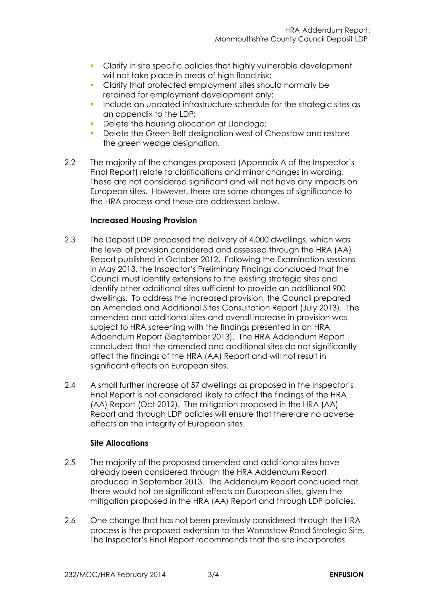- **Clarify in site specific policies that highly vulnerable development** will not take place in areas of high flood risk;
- Clarify that protected employment sites should normally be retained for employment development only;
- Include an updated infrastructure schedule for the strategic sites as an appendix to the LDP;
- Delete the housing allocation at Llandogo;
- Delete the Green Belt designation west of Chepstow and restore the green wedge designation.
- 2.2 The majority of the changes proposed (Appendix A of the Inspector's Final Report) relate to clarifications and minor changes in wording. These are not considered significant and will not have any impacts on European sites. However, there are some changes of significance to the HRA process and these are addressed below.

## **Increased Housing Provision**

- 2.3 The Deposit LDP proposed the delivery of 4,000 dwellings, which was the level of provision considered and assessed through the HRA (AA) Report published in October 2012. Following the Examination sessions in May 2013, the Inspector's Preliminary Findings concluded that the Council must identify extensions to the existing strategic sites and identify other additional sites sufficient to provide an additional 900 dwellings. To address the increased provision, the Council prepared an Amended and Additional Sites Consultation Report (July 2013). The amended and additional sites and overall increase in provision was subject to HRA screening with the findings presented in an HRA Addendum Report (September 2013). The HRA Addendum Report concluded that the amended and additional sites do not significantly affect the findings of the HRA (AA) Report and will not result in significant effects on European sites.
- 2.4 A small further increase of 57 dwellings as proposed in the Inspector's Final Report is not considered likely to affect the findings of the HRA (AA) Report (Oct 2012). The mitigation proposed in the HRA (AA) Report and through LDP policies will ensure that there are no adverse effects on the integrity of European sites.

## **Site Allocations**

- 2.5 The majority of the proposed amended and additional sites have already been considered through the HRA Addendum Report produced in September 2013. The Addendum Report concluded that there would not be significant effects on European sites, given the mitigation proposed in the HRA (AA) Report and through LDP policies.
- 2.6 One change that has not been previously considered through the HRA process is the proposed extension to the Wonastow Road Strategic Site. The Inspector's Final Report recommends that the site incorporates